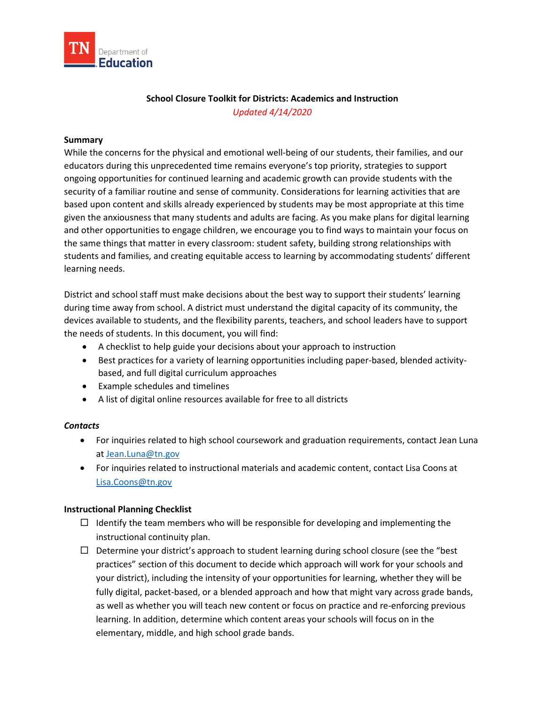

## **School Closure Toolkit for Districts: Academics and Instruction**  *Updated 4/14/2020*

#### **Summary**

 While the concerns for the physical and emotional well-being of our students, their families, and our ongoing opportunities for continued learning and academic growth can provide students with the security of a familiar routine and sense of community. Considerations for learning activities that are given the anxiousness that many students and adults are facing. As you make plans for digital learning and other opportunities to engage children, we encourage you to find ways to maintain your focus on the same things that matter in every classroom: student safety, building strong relationships with educators during this unprecedented time remains everyone's top priority, strategies to support based upon content and skills already experienced by students may be most appropriate at this time students and families, and creating equitable access to learning by accommodating students' different learning needs.

District and school staff must make decisions about the best way to support their students' learning during time away from school. A district must understand the digital capacity of its community, the devices available to students, and the flexibility parents, teachers, and school leaders have to support the needs of students. In this document, you will find:

- A checklist to help guide your decisions about your approach to instruction
- • Best practices for a variety of learning opportunities including paper-based, blended activitybased, and full digital curriculum approaches
- Example schedules and timelines
- A list of digital online resources available for free to all districts

### *Contacts*

- • For inquiries related to high school coursework and graduation requirements, contact Jean Luna at [Jean.Luna@tn.gov](mailto:Jean.Luna@tn.gov)
- • For inquiries related to instructional materials and academic content, contact Lisa Coons at Lisa.Coons@tn.gov

## **Instructional Planning Checklist**

- $\Box$  Identify the team members who will be responsible for developing and implementing the instructional continuity plan.
- fully digital, packet-based, or a blended approach and how that might vary across grade bands,  $\Box$  Determine your district's approach to student learning during school closure (see the "best practices" section of this document to decide which approach will work for your schools and your district), including the intensity of your opportunities for learning, whether they will be as well as whether you will teach new content or focus on practice and re-enforcing previous learning. In addition, determine which content areas your schools will focus on in the elementary, middle, and high school grade bands.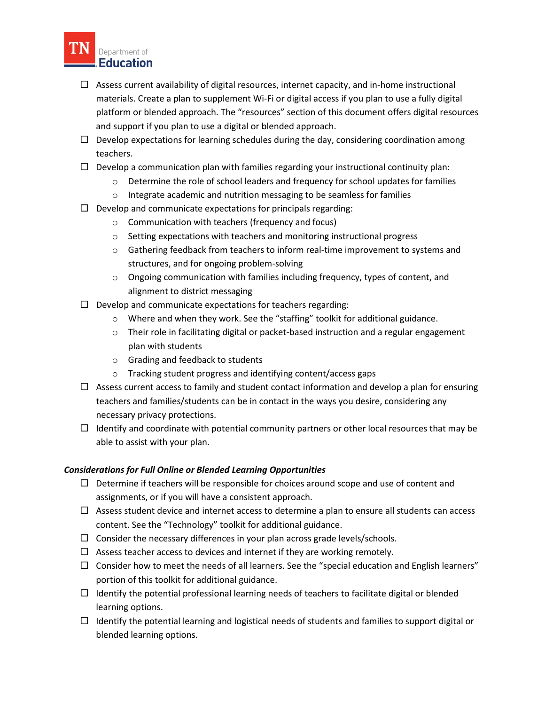

- materials. Create a plan to supplement Wi-Fi or digital access if you plan to use a fully digital platform or blended approach. The "resources" section of this document offers digital resources and support if you plan to use a digital or blended approach.  $\Box$  Assess current availability of digital resources, internet capacity, and in-home instructional
- $\Box$  Develop expectations for learning schedules during the day, considering coordination among teachers.
- $\Box$  Develop a communication plan with families regarding your instructional continuity plan:
	- $\circ$  Determine the role of school leaders and frequency for school updates for families
	- o Integrate academic and nutrition messaging to be seamless for families
- $\Box$  Develop and communicate expectations for principals regarding:
	- o Communication with teachers (frequency and focus)
	- $\circ$  Setting expectations with teachers and monitoring instructional progress
	- $\circ$  Gathering feedback from teachers to inform real-time improvement to systems and structures, and for ongoing problem-solving
	- $\circ$  Ongoing communication with families including frequency, types of content, and alignment to district messaging
- $\Box$  Develop and communicate expectations for teachers regarding:
	- o Where and when they work. See the "staffing" toolkit for additional guidance.
	- o Their role in facilitating digital or packet-based instruction and a regular engagement plan with students
	- o Grading and feedback to students
	- o Tracking student progress and identifying content/access gaps
- $\Box$  Assess current access to family and student contact information and develop a plan for ensuring teachers and families/students can be in contact in the ways you desire, considering any necessary privacy protections.
- $\Box$  Identify and coordinate with potential community partners or other local resources that may be able to assist with your plan.

## *Considerations for Full Online or Blended Learning Opportunities*

- $\Box$  Determine if teachers will be responsible for choices around scope and use of content and assignments, or if you will have a consistent approach.
- $\Box$  Assess student device and internet access to determine a plan to ensure all students can access content. See the "Technology" toolkit for additional guidance.
- $\Box$  Consider the necessary differences in your plan across grade levels/schools.
- $\Box$  Assess teacher access to devices and internet if they are working remotely.
- $\Box$  Consider how to meet the needs of all learners. See the "special education and English learners" portion of this toolkit for additional guidance.
- $\Box$  Identify the potential professional learning needs of teachers to facilitate digital or blended learning options.
- blended learning options.  $\Box$  Identify the potential learning and logistical needs of students and families to support digital or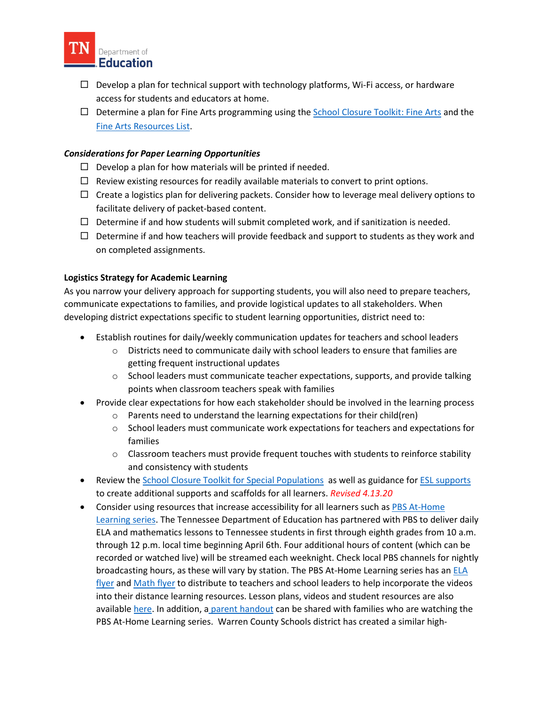

- $\Box$  Develop a plan for technical support with technology platforms, Wi-Fi access, or hardware access for students and educators at home.
- $\Box$  Determine a plan for Fine Arts programming using the [School Closure Toolkit: Fine Arts](https://www.tn.gov/content/dam/tn/education/health-&-safety/School%20Closure%20Toolkit%20-%20Fine%20Arts.pdf) and the [Fine Arts Resources List.](https://www.tn.gov/content/dam/tn/education/health-&-safety/COVID-19%20Fine%20Arts%20Resource%20List_03-27-2020.pdf)

## *Considerations for Paper Learning Opportunities*

- $\Box$  Develop a plan for how materials will be printed if needed.
- $\Box$  Review existing resources for readily available materials to convert to print options.
- $\Box$  Create a logistics plan for delivering packets. Consider how to leverage meal delivery options to facilitate delivery of packet-based content.
- $\Box$  Determine if and how students will submit completed work, and if sanitization is needed.
- $\Box$  Determine if and how teachers will provide feedback and support to students as they work and on completed assignments.

## **Logistics Strategy for Academic Learning**

 As you narrow your delivery approach for supporting students, you will also need to prepare teachers, developing district expectations specific to student learning opportunities, district need to: communicate expectations to families, and provide logistical updates to all stakeholders. When

- Establish routines for daily/weekly communication updates for teachers and school leaders
	- o Districts need to communicate daily with school leaders to ensure that families are getting frequent instructional updates
	- $\circ$  School leaders must communicate teacher expectations, supports, and provide talking points when classroom teachers speak with families
- Provide clear expectations for how each stakeholder should be involved in the learning process
	- o Parents need to understand the learning expectations for their child(ren)
	- o School leaders must communicate work expectations for teachers and expectations for families
	- $\circ$  Classroom teachers must provide frequent touches with students to reinforce stability and consistency with students
- Review the **School Closure Toolkit for Special Populations** as well as guidance for **ESL supports** to create additional supports and scaffolds for all learners. *Revised 4.13.20*
- [Learning series.](https://www.tn.gov/education/pbsteaching.html) The Tennessee Department of Education has partnered with PBS to deliver daily through 12 p.m. local time beginning April 6th. Four additional hours of content (which can be recorded or watched live) will be streamed each weeknight. Check local PBS channels for nightly broadcasting hours, as these will vary by station. The PBS At-Home Learning series has an **ELA**  PBS At-Home Learning series. Warren County Schools district has created a similar high-• Consider using resources that increase accessibility for all learners such as PBS At-Home ELA and mathematics lessons to Tennessee students in first through eighth grades from 10 a.m. [flyer](https://www.tn.gov/content/dam/tn/education/pbs-teaching/PBS%20Tennessee%20at%20Home%20Learning%20Series_ELA.pdf) and [Math flyer](https://www.tn.gov/content/dam/tn/education/pbs-teaching/Tennessee%20at%20Home%20Learning%20Series_Math.pdf) to distribute to teachers and school leaders to help incorporate the videos into their distance learning resources. Lesson plans, videos and student resources are also available [here.](file:///C:%5CUsers%5CCA18926%5COneDrive%20-%20TN%20Dept%20of%20Education%5CDocuments%5CAcademic%20Toolkit%5CWe%20have%20also%20started%20to%20develop%20lessons%20and%20post%20them%20on%20our%20YouTube%20channel%20here%20https:%5Cwww.youtube.com%5Cuser%5CWCSTV180%5Cvideos%20and%20televise%20on%20our%20local%20TV%20station%20Warren%20County%20Schools%20Television.) In addition, [a parent handout c](https://www.tn.gov/content/dam/tn/education/pbs-teaching/PBS%20Tennessee%20at%20Home%20Learning%20Series_Parents.pdf)an be shared with families who are watching the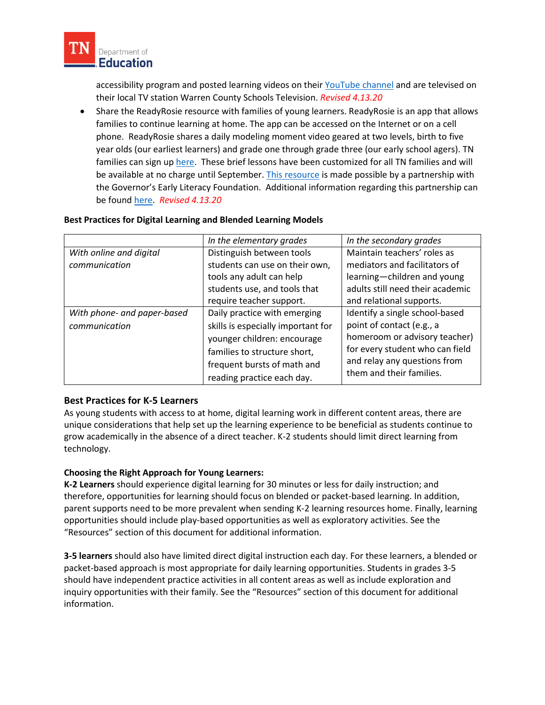

accessibility program and posted learning videos on their [YouTube channel a](https://urldefense.com/v3/__https:/www.youtube.com/user/WCSTV180/videos__;!!PRtDf9A!_tUGOjuDEMl-y9yTKpDpNL-bXaiwiIFmcx1ZLaiQiSORtqrXe364Q7THA86PypCZ$)nd are televised on their local TV station Warren County Schools Television. *Revised 4.13.20* 

 • Share the ReadyRosie resource with families of young learners. ReadyRosie is an app that allows families to continue learning at home. The app can be accessed on the Internet or on a cell phone. ReadyRosie shares a daily modeling moment video geared at two levels, birth to five the Governor's Early Literacy Foundation. Additional information regarding this partnership can year olds (our earliest learners) and grade one through grade three (our early school agers). TN families can sign up [here.](https://readyrosie.com/tn/) These brief lessons have been customized for all TN families and will be available at no charge until September. [This resource](https://readyrosie.com/) is made possible by a partnership with be foun[d here.](https://www.tn.gov/education/news/2020/3/30/tdoe--governor-s-early-literacy-foundation-partner-with-readyrosie-to-provide-free-early-education-resources-to-families-.html) *Revised 4.13.20* 

#### **Best Practices for Digital Learning and Blended Learning Models**

|                             | In the elementary grades           | In the secondary grades          |
|-----------------------------|------------------------------------|----------------------------------|
| With online and digital     | Distinguish between tools          | Maintain teachers' roles as      |
| communication               | students can use on their own,     | mediators and facilitators of    |
|                             | tools any adult can help           | learning-children and young      |
|                             | students use, and tools that       | adults still need their academic |
|                             | require teacher support.           | and relational supports.         |
| With phone- and paper-based | Daily practice with emerging       | Identify a single school-based   |
| communication               | skills is especially important for | point of contact (e.g., a        |
|                             | younger children: encourage        | homeroom or advisory teacher)    |
|                             | families to structure short,       | for every student who can field  |
|                             | frequent bursts of math and        | and relay any questions from     |
|                             | reading practice each day.         | them and their families.         |

### **Best Practices for K-5 Learners**

 unique considerations that help set up the learning experience to be beneficial as students continue to grow academically in the absence of a direct teacher. K-2 students should limit direct learning from As young students with access to at home, digital learning work in different content areas, there are technology.

## **Choosing the Right Approach for Young Learners:**

 therefore, opportunities for learning should focus on blended or packet-based learning. In addition, "Resources" section of this document for additional information. **K-2 Learners** should experience digital learning for 30 minutes or less for daily instruction; and parent supports need to be more prevalent when sending K-2 learning resources home. Finally, learning opportunities should include play-based opportunities as well as exploratory activities. See the

 **3-5 learners** should also have limited direct digital instruction each day. For these learners, a blended or inquiry opportunities with their family. See the "Resources" section of this document for additional packet-based approach is most appropriate for daily learning opportunities. Students in grades 3-5 should have independent practice activities in all content areas as well as include exploration and information.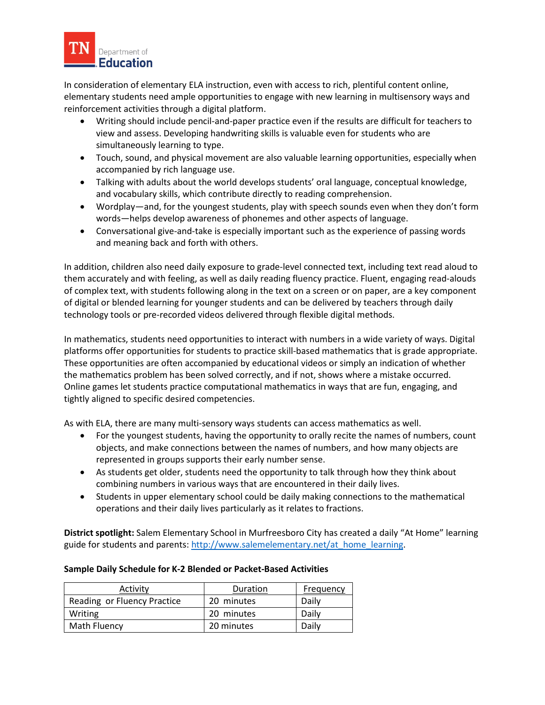

 In consideration of elementary ELA instruction, even with access to rich, plentiful content online, elementary students need ample opportunities to engage with new learning in multisensory ways and reinforcement activities through a digital platform.

- view and assess. Developing handwriting skills is valuable even for students who are simultaneously learning to type. • Writing should include pencil-and-paper practice even if the results are difficult for teachers to
- • Touch, sound, and physical movement are also valuable learning opportunities, especially when accompanied by rich language use.
- Talking with adults about the world develops students' oral language, conceptual knowledge, and vocabulary skills, which contribute directly to reading comprehension.
- • Wordplay—and, for the youngest students, play with speech sounds even when they don't form words—helps develop awareness of phonemes and other aspects of language.
- • Conversational give-and-take is especially important such as the experience of passing words and meaning back and forth with others.

 In addition, children also need daily exposure to grade-level connected text, including text read aloud to them accurately and with feeling, as well as daily reading fluency practice. Fluent, engaging read-alouds technology tools or pre-recorded videos delivered through flexible digital methods. of complex text, with students following along in the text on a screen or on paper, are a key component of digital or blended learning for younger students and can be delivered by teachers through daily

technology tools or pre-recorded videos delivered through flexible digital methods.<br>In mathematics, students need opportunities to interact with numbers in a wide variety of ways. Digital platforms offer opportunities for students to practice skill-based mathematics that is grade appropriate.<br>These opportunities are often accompanied by educational videos or simply an indication of whether These opportunities are often accompanied by educational videos or simply an indication of whether the mathematics problem has been solved correctly, and if not, shows where a mistake occurred. the mathematics problem has been solved correctly, and if not, shows where a mistake occurred.<br>Online games let students practice computational mathematics in ways that are fun, engaging, and tightly aligned to specific desired competencies.

tightly aligned to specific desired competencies.<br>As with ELA, there are many multi-sensory ways students can access mathematics as well.

- • For the youngest students, having the opportunity to orally recite the names of numbers, count objects, and make connections between the names of numbers, and how many objects are represented in groups supports their early number sense.
- • As students get older, students need the opportunity to talk through how they think about combining numbers in various ways that are encountered in their daily lives.
- Students in upper elementary school could be daily making connections to the mathematical operations and their daily lives particularly as it relates to fractions.

**District spotlight:** Salem Elementary School in Murfreesboro City has created a daily "At Home" learning guide for students and parents: [http://www.salemelementary.net/at\\_home\\_learning.](http://www.salemelementary.net/at_home_learning)

### **Sample Daily Schedule for K-2 Blended or Packet-Based Activities**

| Activity                    | Duration   | Frequency |
|-----------------------------|------------|-----------|
| Reading or Fluency Practice | 20 minutes | Daily     |
| Writing                     | 20 minutes | Daily     |
| <b>Math Fluency</b>         | 20 minutes | Daily     |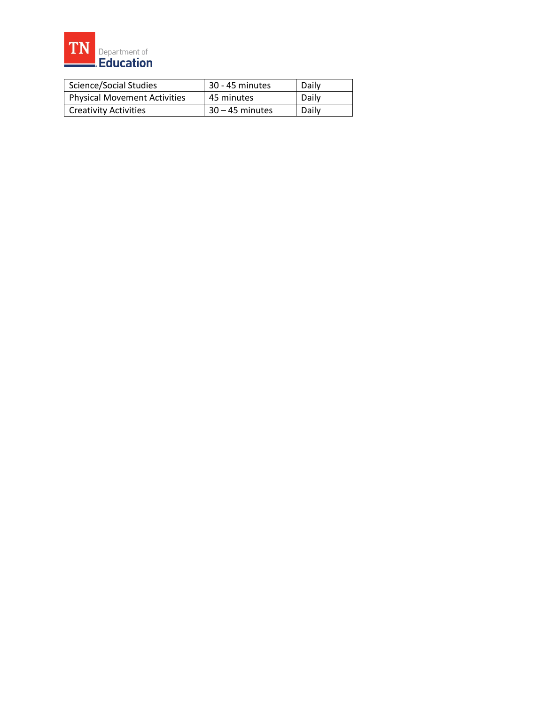

| <b>Science/Social Studies</b>       | 30 - 45 minutes   | Daily |
|-------------------------------------|-------------------|-------|
| <b>Physical Movement Activities</b> | 45 minutes        | Daily |
| <b>Creativity Activities</b>        | $30 - 45$ minutes | Daily |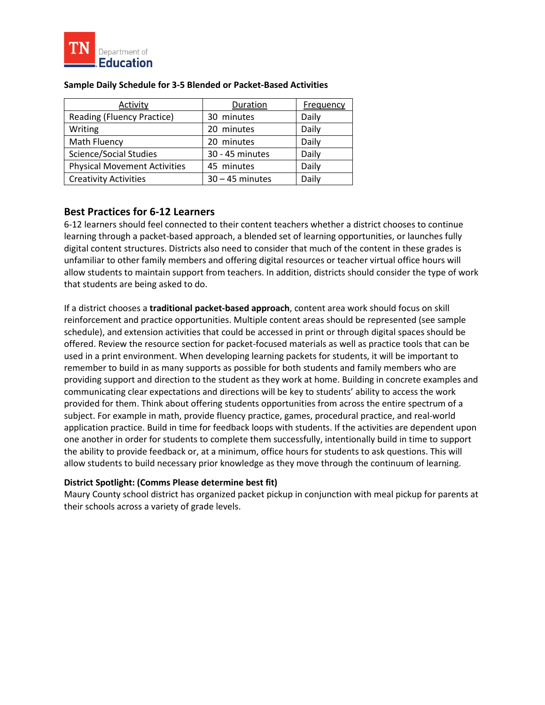

| Activity                            | Duration          | <b>Frequency</b> |
|-------------------------------------|-------------------|------------------|
| Reading (Fluency Practice)          | 30 minutes        | Daily            |
| Writing                             | 20 minutes        | Daily            |
| Math Fluency                        | 20 minutes        | Daily            |
| <b>Science/Social Studies</b>       | 30 - 45 minutes   | Daily            |
| <b>Physical Movement Activities</b> | 45 minutes        | Daily            |
| <b>Creativity Activities</b>        | $30 - 45$ minutes | Daily            |

#### **Sample Daily Schedule for 3-5 Blended or Packet-Based Activities**

## **Best Practices for 6-12 Learners**

 6-12 learners should feel connected to their content teachers whether a district chooses to continue digital content structures. Districts also need to consider that much of the content in these grades is unfamiliar to other family members and offering digital resources or teacher virtual office hours will allow students to maintain support from teachers. In addition, districts should consider the type of work learning through a packet-based approach, a blended set of learning opportunities, or launches fully that students are being asked to do.

 If a district chooses a **traditional packet-based approach**, content area work should focus on skill providing support and direction to the student as they work at home. Building in concrete examples and communicating clear expectations and directions will be key to students' ability to access the work provided for them. Think about offering students opportunities from across the entire spectrum of a the ability to provide feedback or, at a minimum, office hours for students to ask questions. This will allow students to build necessary prior knowledge as they move through the continuum of learning. reinforcement and practice opportunities. Multiple content areas should be represented (see sample schedule), and extension activities that could be accessed in print or through digital spaces should be offered. Review the resource section for packet-focused materials as well as practice tools that can be used in a print environment. When developing learning packets for students, it will be important to remember to build in as many supports as possible for both students and family members who are subject. For example in math, provide fluency practice, games, procedural practice, and real-world application practice. Build in time for feedback loops with students. If the activities are dependent upon one another in order for students to complete them successfully, intentionally build in time to support

## **District Spotlight: (Comms Please determine best fit)**

 Maury County school district has organized packet pickup in conjunction with meal pickup for parents at their schools across a variety of grade levels.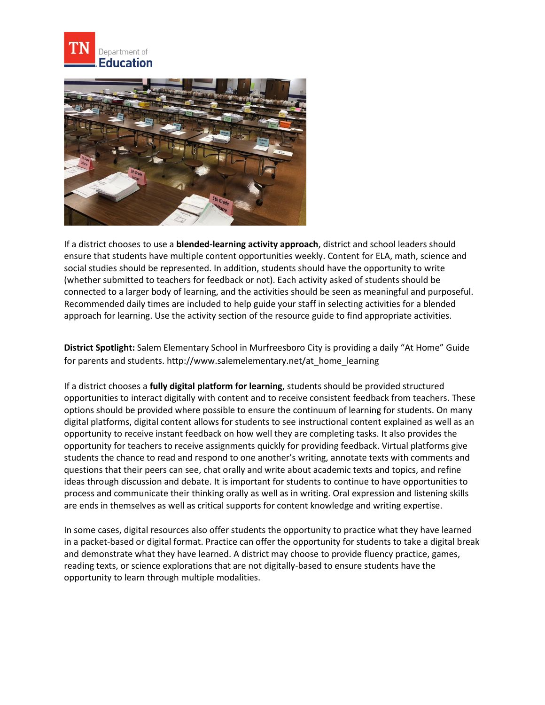



 social studies should be represented. In addition, students should have the opportunity to write connected to a larger body of learning, and the activities should be seen as meaningful and purposeful. Recommended daily times are included to help guide your staff in selecting activities for a blended If a district chooses to use a **blended-learning activity approach**, district and school leaders should ensure that students have multiple content opportunities weekly. Content for ELA, math, science and (whether submitted to teachers for feedback or not). Each activity asked of students should be approach for learning. Use the activity section of the resource guide to find appropriate activities.

**District Spotlight:** Salem Elementary School in Murfreesboro City is providing a daily "At Home" Guide for parents and students. [http://www.salemelementary.net/at\\_home\\_learning](http://www.salemelementary.net/at_home_learning) 

 options should be provided where possible to ensure the continuum of learning for students. On many digital platforms, digital content allows for students to see instructional content explained as well as an ideas through discussion and debate. It is important for students to continue to have opportunities to process and communicate their thinking orally as well as in writing. Oral expression and listening skills are ends in themselves as well as critical supports for content knowledge and writing expertise. If a district chooses a **fully digital platform for learning**, students should be provided structured opportunities to interact digitally with content and to receive consistent feedback from teachers. These opportunity to receive instant feedback on how well they are completing tasks. It also provides the opportunity for teachers to receive assignments quickly for providing feedback. Virtual platforms give students the chance to read and respond to one another's writing, annotate texts with comments and questions that their peers can see, chat orally and write about academic texts and topics, and refine

 in a packet-based or digital format. Practice can offer the opportunity for students to take a digital break In some cases, digital resources also offer students the opportunity to practice what they have learned and demonstrate what they have learned. A district may choose to provide fluency practice, games, reading texts, or science explorations that are not digitally-based to ensure students have the opportunity to learn through multiple modalities.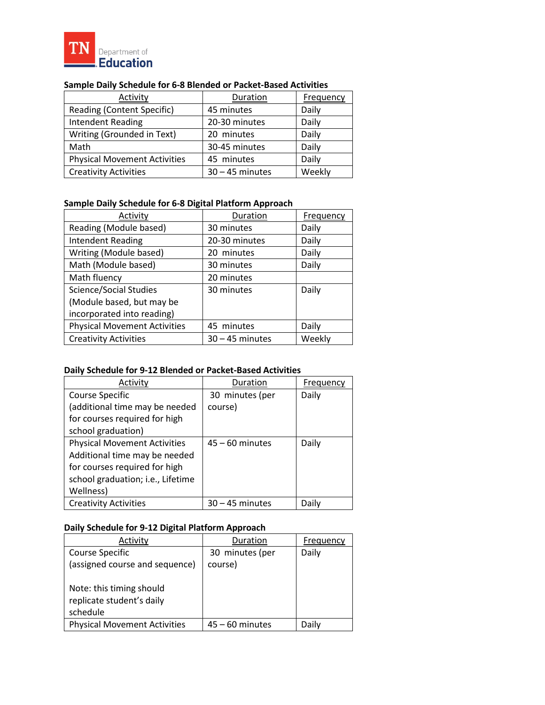

| Activity                            | Duration          | <b>Frequency</b> |
|-------------------------------------|-------------------|------------------|
| Reading (Content Specific)          | 45 minutes        | Daily            |
| <b>Intendent Reading</b>            | 20-30 minutes     | Daily            |
| Writing (Grounded in Text)          | 20 minutes        | Daily            |
| Math                                | 30-45 minutes     | Daily            |
| <b>Physical Movement Activities</b> | 45 minutes        | Daily            |
| <b>Creativity Activities</b>        | $30 - 45$ minutes | Weekly           |

## **Sample Daily Schedule for 6-8 Blended or Packet-Based Activities**

## **Sample Daily Schedule for 6-8 Digital Platform Approach**

| Activity                            | Duration          | Frequency |
|-------------------------------------|-------------------|-----------|
| Reading (Module based)              | 30 minutes        | Daily     |
| <b>Intendent Reading</b>            | 20-30 minutes     | Daily     |
| Writing (Module based)              | 20 minutes        | Daily     |
| Math (Module based)                 | 30 minutes        | Daily     |
| Math fluency                        | 20 minutes        |           |
| <b>Science/Social Studies</b>       | 30 minutes        | Daily     |
| (Module based, but may be           |                   |           |
| incorporated into reading)          |                   |           |
| <b>Physical Movement Activities</b> | 45 minutes        | Daily     |
| <b>Creativity Activities</b>        | $30 - 45$ minutes | Weekly    |

## **Daily Schedule for 9-12 Blended or Packet-Based Activities**

| Activity                            | Duration          | Frequency |
|-------------------------------------|-------------------|-----------|
| Course Specific                     | 30 minutes (per   | Daily     |
| (additional time may be needed      | course)           |           |
| for courses required for high       |                   |           |
| school graduation)                  |                   |           |
| <b>Physical Movement Activities</b> | $45 - 60$ minutes | Daily     |
| Additional time may be needed       |                   |           |
| for courses required for high       |                   |           |
| school graduation; i.e., Lifetime   |                   |           |
| Wellness)                           |                   |           |
| <b>Creativity Activities</b>        | $30 - 45$ minutes | Daily     |

#### **Daily Schedule for 9-12 Digital Platform Approach**

| Activity                            | Duration          | Frequency |
|-------------------------------------|-------------------|-----------|
| Course Specific                     | 30 minutes (per   | Daily     |
| (assigned course and sequence)      | course)           |           |
|                                     |                   |           |
| Note: this timing should            |                   |           |
| replicate student's daily           |                   |           |
| schedule                            |                   |           |
| <b>Physical Movement Activities</b> | $45 - 60$ minutes | Daily     |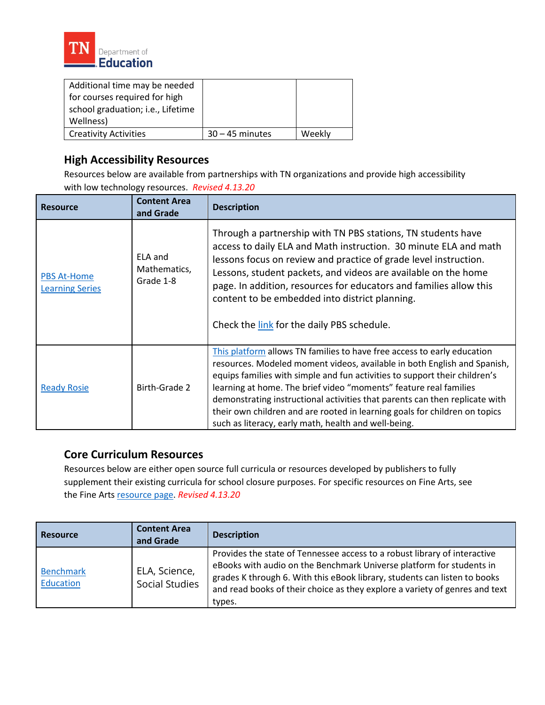

| Additional time may be needed     |                   |        |
|-----------------------------------|-------------------|--------|
| for courses required for high     |                   |        |
| school graduation; i.e., Lifetime |                   |        |
| Wellness)                         |                   |        |
| <b>Creativity Activities</b>      | $30 - 45$ minutes | Weekly |

## **High Accessibility Resources**

Resources below are available from partnerships with TN organizations and provide high accessibility with low technology resources. *Revised 4.13.20* 

| <b>Resource</b>                              | <b>Content Area</b><br>and Grade     | <b>Description</b>                                                                                                                                                                                                                                                                                                                                                                                                                                                                                                          |
|----------------------------------------------|--------------------------------------|-----------------------------------------------------------------------------------------------------------------------------------------------------------------------------------------------------------------------------------------------------------------------------------------------------------------------------------------------------------------------------------------------------------------------------------------------------------------------------------------------------------------------------|
| <b>PBS At-Home</b><br><b>Learning Series</b> | ELA and<br>Mathematics,<br>Grade 1-8 | Through a partnership with TN PBS stations, TN students have<br>access to daily ELA and Math instruction. 30 minute ELA and math<br>lessons focus on review and practice of grade level instruction.<br>Lessons, student packets, and videos are available on the home<br>page. In addition, resources for educators and families allow this<br>content to be embedded into district planning.<br>Check the link for the daily PBS schedule.                                                                                |
| <b>Ready Rosie</b>                           | Birth-Grade 2                        | This platform allows TN families to have free access to early education<br>resources. Modeled moment videos, available in both English and Spanish,<br>equips families with simple and fun activities to support their children's<br>learning at home. The brief video "moments" feature real families<br>demonstrating instructional activities that parents can then replicate with<br>their own children and are rooted in learning goals for children on topics<br>such as literacy, early math, health and well-being. |

## **Core Curriculum Resources**

 Resources below are either open source full curricula or resources developed by publishers to fully supplement their existing curricula for school closure purposes. For specific resources on Fine Arts, see the Fine Art[s resource page.](https://www.tn.gov/content/dam/tn/education/health-&-safety/COVID-19%20Fine%20Arts%20Resource%20List_03-27-2020.pdf) *Revised 4.13.20* 

| <b>Resource</b>               | <b>Content Area</b><br>and Grade       | <b>Description</b>                                                                                                                                                                                                                                                                                                      |
|-------------------------------|----------------------------------------|-------------------------------------------------------------------------------------------------------------------------------------------------------------------------------------------------------------------------------------------------------------------------------------------------------------------------|
| <b>Benchmark</b><br>Education | ELA, Science,<br><b>Social Studies</b> | Provides the state of Tennessee access to a robust library of interactive<br>eBooks with audio on the Benchmark Universe platform for students in<br>grades K through 6. With this eBook library, students can listen to books<br>and read books of their choice as they explore a variety of genres and text<br>types. |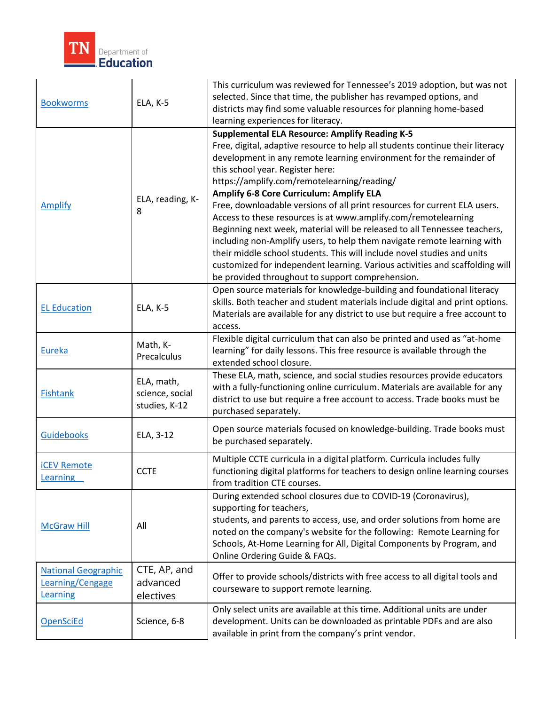

| <b>Bookworms</b>                                           | ELA, K-5                                       | This curriculum was reviewed for Tennessee's 2019 adoption, but was not<br>selected. Since that time, the publisher has revamped options, and<br>districts may find some valuable resources for planning home-based<br>learning experiences for literacy.                                                                                                                                                                                                                                                                                                                                                                                                                                                                                                                                                                                                          |
|------------------------------------------------------------|------------------------------------------------|--------------------------------------------------------------------------------------------------------------------------------------------------------------------------------------------------------------------------------------------------------------------------------------------------------------------------------------------------------------------------------------------------------------------------------------------------------------------------------------------------------------------------------------------------------------------------------------------------------------------------------------------------------------------------------------------------------------------------------------------------------------------------------------------------------------------------------------------------------------------|
| <b>Amplify</b>                                             | ELA, reading, K-<br>8                          | <b>Supplemental ELA Resource: Amplify Reading K-5</b><br>Free, digital, adaptive resource to help all students continue their literacy<br>development in any remote learning environment for the remainder of<br>this school year. Register here:<br>https://amplify.com/remotelearning/reading/<br>Amplify 6-8 Core Curriculum: Amplify ELA<br>Free, downloadable versions of all print resources for current ELA users.<br>Access to these resources is at www.amplify.com/remotelearning<br>Beginning next week, material will be released to all Tennessee teachers,<br>including non-Amplify users, to help them navigate remote learning with<br>their middle school students. This will include novel studies and units<br>customized for independent learning. Various activities and scaffolding will<br>be provided throughout to support comprehension. |
| <b>EL Education</b>                                        | ELA, K-5                                       | Open source materials for knowledge-building and foundational literacy<br>skills. Both teacher and student materials include digital and print options.<br>Materials are available for any district to use but require a free account to<br>access.                                                                                                                                                                                                                                                                                                                                                                                                                                                                                                                                                                                                                |
| Eureka                                                     | Math, K-<br>Precalculus                        | Flexible digital curriculum that can also be printed and used as "at-home<br>learning" for daily lessons. This free resource is available through the<br>extended school closure.                                                                                                                                                                                                                                                                                                                                                                                                                                                                                                                                                                                                                                                                                  |
| <b>Fishtank</b>                                            | ELA, math,<br>science, social<br>studies, K-12 | These ELA, math, science, and social studies resources provide educators<br>with a fully-functioning online curriculum. Materials are available for any<br>district to use but require a free account to access. Trade books must be<br>purchased separately.                                                                                                                                                                                                                                                                                                                                                                                                                                                                                                                                                                                                      |
| <b>Guidebooks</b>                                          | ELA, 3-12                                      | Open source materials focused on knowledge-building. Trade books must<br>be purchased separately.                                                                                                                                                                                                                                                                                                                                                                                                                                                                                                                                                                                                                                                                                                                                                                  |
| <b>ICEV Remote</b><br><b>Learning</b>                      | <b>CCTE</b>                                    | Multiple CCTE curricula in a digital platform. Curricula includes fully<br>functioning digital platforms for teachers to design online learning courses<br>from tradition CTE courses.                                                                                                                                                                                                                                                                                                                                                                                                                                                                                                                                                                                                                                                                             |
| <b>McGraw Hill</b>                                         | All                                            | During extended school closures due to COVID-19 (Coronavirus),<br>supporting for teachers,<br>students, and parents to access, use, and order solutions from home are<br>noted on the company's website for the following: Remote Learning for<br>Schools, At-Home Learning for All, Digital Components by Program, and<br>Online Ordering Guide & FAQs.                                                                                                                                                                                                                                                                                                                                                                                                                                                                                                           |
| <b>National Geographic</b><br>Learning/Cengage<br>Learning | CTE, AP, and<br>advanced<br>electives          | Offer to provide schools/districts with free access to all digital tools and<br>courseware to support remote learning.                                                                                                                                                                                                                                                                                                                                                                                                                                                                                                                                                                                                                                                                                                                                             |
| <b>OpenSciEd</b>                                           | Science, 6-8                                   | Only select units are available at this time. Additional units are under<br>development. Units can be downloaded as printable PDFs and are also<br>available in print from the company's print vendor.                                                                                                                                                                                                                                                                                                                                                                                                                                                                                                                                                                                                                                                             |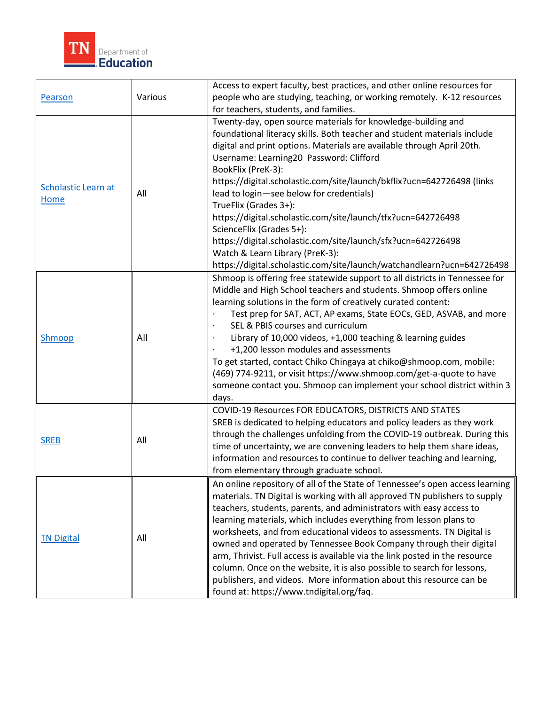

| Pearson                     | Various                                                                                                                                                                                                                                                                                                                                                                                                                                                                                                                                                                                                                                                                                                                                    | Access to expert faculty, best practices, and other online resources for<br>people who are studying, teaching, or working remotely. K-12 resources<br>for teachers, students, and families.                                                                                                                                                                                                                                                                                                                                                                                                                                                                                                                 |  |
|-----------------------------|--------------------------------------------------------------------------------------------------------------------------------------------------------------------------------------------------------------------------------------------------------------------------------------------------------------------------------------------------------------------------------------------------------------------------------------------------------------------------------------------------------------------------------------------------------------------------------------------------------------------------------------------------------------------------------------------------------------------------------------------|-------------------------------------------------------------------------------------------------------------------------------------------------------------------------------------------------------------------------------------------------------------------------------------------------------------------------------------------------------------------------------------------------------------------------------------------------------------------------------------------------------------------------------------------------------------------------------------------------------------------------------------------------------------------------------------------------------------|--|
| Scholastic Learn at<br>Home | All                                                                                                                                                                                                                                                                                                                                                                                                                                                                                                                                                                                                                                                                                                                                        | Twenty-day, open source materials for knowledge-building and<br>foundational literacy skills. Both teacher and student materials include<br>digital and print options. Materials are available through April 20th.<br>Username: Learning20 Password: Clifford<br>BookFlix (PreK-3):<br>https://digital.scholastic.com/site/launch/bkflix?ucn=642726498 (links<br>lead to login-see below for credentials)<br>TrueFlix (Grades 3+):<br>https://digital.scholastic.com/site/launch/tfx?ucn=642726498<br>ScienceFlix (Grades 5+):<br>https://digital.scholastic.com/site/launch/sfx?ucn=642726498<br>Watch & Learn Library (PreK-3):<br>https://digital.scholastic.com/site/launch/watchandlearn?ucn=642726498 |  |
| Shmoop                      | All                                                                                                                                                                                                                                                                                                                                                                                                                                                                                                                                                                                                                                                                                                                                        | Shmoop is offering free statewide support to all districts in Tennessee for<br>Middle and High School teachers and students. Shmoop offers online<br>learning solutions in the form of creatively curated content:<br>Test prep for SAT, ACT, AP exams, State EOCs, GED, ASVAB, and more<br>SEL & PBIS courses and curriculum<br>$\bullet$<br>Library of 10,000 videos, +1,000 teaching & learning guides<br>+1,200 lesson modules and assessments<br>To get started, contact Chiko Chingaya at chiko@shmoop.com, mobile:<br>(469) 774-9211, or visit https://www.shmoop.com/get-a-quote to have<br>someone contact you. Shmoop can implement your school district within 3<br>days.                        |  |
| <b>SREB</b>                 | All                                                                                                                                                                                                                                                                                                                                                                                                                                                                                                                                                                                                                                                                                                                                        | COVID-19 Resources FOR EDUCATORS, DISTRICTS AND STATES<br>SREB is dedicated to helping educators and policy leaders as they work<br>through the challenges unfolding from the COVID-19 outbreak. During this<br>time of uncertainty, we are convening leaders to help them share ideas,<br>information and resources to continue to deliver teaching and learning,<br>from elementary through graduate school.                                                                                                                                                                                                                                                                                              |  |
| <b>TN Digital</b>           | An online repository of all of the State of Tennessee's open access learning<br>materials. TN Digital is working with all approved TN publishers to supply<br>teachers, students, parents, and administrators with easy access to<br>learning materials, which includes everything from lesson plans to<br>worksheets, and from educational videos to assessments. TN Digital is<br>All<br>owned and operated by Tennessee Book Company through their digital<br>arm, Thrivist. Full access is available via the link posted in the resource<br>column. Once on the website, it is also possible to search for lessons,<br>publishers, and videos. More information about this resource can be<br>found at: https://www.tndigital.org/faq. |                                                                                                                                                                                                                                                                                                                                                                                                                                                                                                                                                                                                                                                                                                             |  |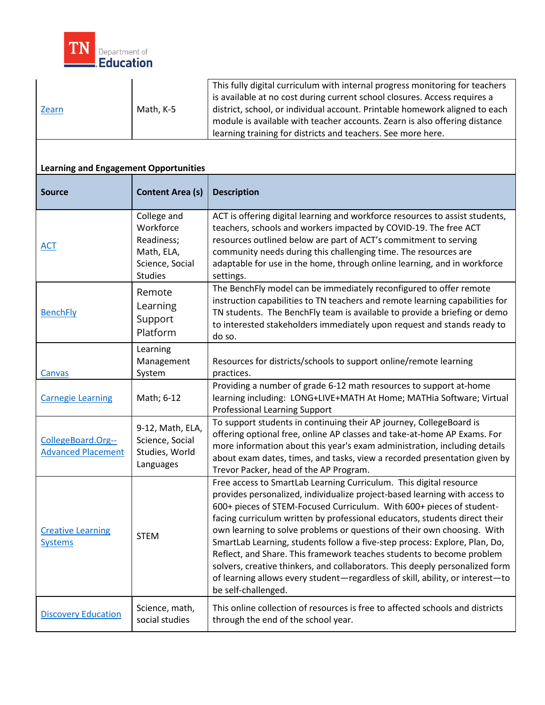

| Zearn                                           | Math, K-5                                                                                 | This fully digital curriculum with internal progress monitoring for teachers<br>is available at no cost during current school closures. Access requires a<br>district, school, or individual account. Printable homework aligned to each<br>module is available with teacher accounts. Zearn is also offering distance<br>learning training for districts and teachers. See more here.                                                                                                                                                                                                                                                                                                                                           |
|-------------------------------------------------|-------------------------------------------------------------------------------------------|----------------------------------------------------------------------------------------------------------------------------------------------------------------------------------------------------------------------------------------------------------------------------------------------------------------------------------------------------------------------------------------------------------------------------------------------------------------------------------------------------------------------------------------------------------------------------------------------------------------------------------------------------------------------------------------------------------------------------------|
| <b>Learning and Engagement Opportunities</b>    |                                                                                           |                                                                                                                                                                                                                                                                                                                                                                                                                                                                                                                                                                                                                                                                                                                                  |
| <b>Source</b>                                   | <b>Content Area (s)</b>                                                                   | <b>Description</b>                                                                                                                                                                                                                                                                                                                                                                                                                                                                                                                                                                                                                                                                                                               |
| <u>ACT</u>                                      | College and<br>Workforce<br>Readiness;<br>Math, ELA,<br>Science, Social<br><b>Studies</b> | ACT is offering digital learning and workforce resources to assist students,<br>teachers, schools and workers impacted by COVID-19. The free ACT<br>resources outlined below are part of ACT's commitment to serving<br>community needs during this challenging time. The resources are<br>adaptable for use in the home, through online learning, and in workforce<br>settings.                                                                                                                                                                                                                                                                                                                                                 |
| <b>BenchFly</b>                                 | Remote<br>Learning<br>Support<br>Platform                                                 | The BenchFly model can be immediately reconfigured to offer remote<br>instruction capabilities to TN teachers and remote learning capabilities for<br>TN students. The BenchFly team is available to provide a briefing or demo<br>to interested stakeholders immediately upon request and stands ready to<br>do so.                                                                                                                                                                                                                                                                                                                                                                                                             |
| Canvas                                          | Learning<br>Management<br>System                                                          | Resources for districts/schools to support online/remote learning<br>practices.                                                                                                                                                                                                                                                                                                                                                                                                                                                                                                                                                                                                                                                  |
| <b>Carnegie Learning</b>                        | Math; 6-12                                                                                | Providing a number of grade 6-12 math resources to support at-home<br>learning including: LONG+LIVE+MATH At Home; MATHia Software; Virtual<br><b>Professional Learning Support</b>                                                                                                                                                                                                                                                                                                                                                                                                                                                                                                                                               |
| CollegeBoard.Org--<br><b>Advanced Placement</b> | 9-12, Math, ELA,<br>Science, Social<br>Studies, World<br>Languages                        | To support students in continuing their AP journey, CollegeBoard is<br>offering optional free, online AP classes and take-at-home AP Exams. For<br>more information about this year's exam administration, including details<br>about exam dates, times, and tasks, view a recorded presentation given by<br>Trevor Packer, head of the AP Program.                                                                                                                                                                                                                                                                                                                                                                              |
| <b>Creative Learning</b><br><b>Systems</b>      | <b>STEM</b>                                                                               | Free access to SmartLab Learning Curriculum. This digital resource<br>provides personalized, individualize project-based learning with access to<br>600+ pieces of STEM-Focused Curriculum. With 600+ pieces of student-<br>facing curriculum written by professional educators, students direct their<br>own learning to solve problems or questions of their own choosing. With<br>SmartLab Learning, students follow a five-step process: Explore, Plan, Do,<br>Reflect, and Share. This framework teaches students to become problem<br>solvers, creative thinkers, and collaborators. This deeply personalized form<br>of learning allows every student-regardless of skill, ability, or interest-to<br>be self-challenged. |
| <b>Discovery Education</b>                      | Science, math,<br>social studies                                                          | This online collection of resources is free to affected schools and districts<br>through the end of the school year.                                                                                                                                                                                                                                                                                                                                                                                                                                                                                                                                                                                                             |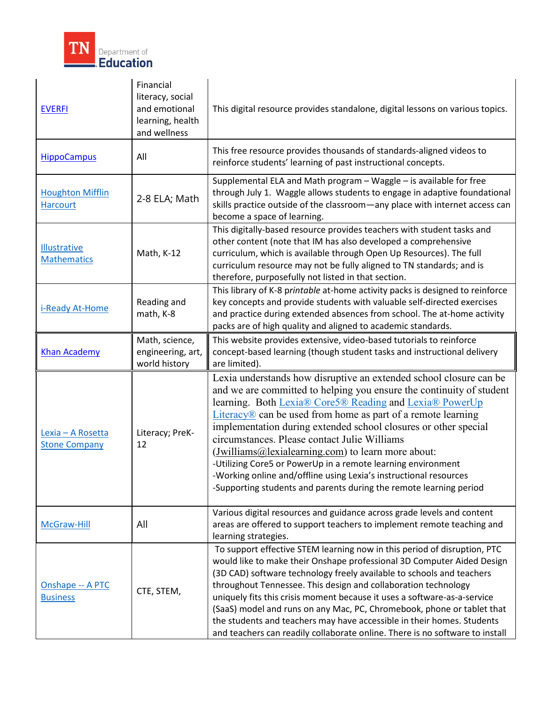

| <b>EVERFI</b>                                     | Financial<br>literacy, social<br>and emotional<br>learning, health<br>and wellness | This digital resource provides standalone, digital lessons on various topics.                                                                                                                                                                                                                                                                                                                                                                                                                                                                                                                                                                                         |  |
|---------------------------------------------------|------------------------------------------------------------------------------------|-----------------------------------------------------------------------------------------------------------------------------------------------------------------------------------------------------------------------------------------------------------------------------------------------------------------------------------------------------------------------------------------------------------------------------------------------------------------------------------------------------------------------------------------------------------------------------------------------------------------------------------------------------------------------|--|
| <b>HippoCampus</b>                                | All                                                                                | This free resource provides thousands of standards-aligned videos to<br>reinforce students' learning of past instructional concepts.                                                                                                                                                                                                                                                                                                                                                                                                                                                                                                                                  |  |
| <b>Houghton Mifflin</b><br><b>Harcourt</b>        | 2-8 ELA; Math                                                                      | Supplemental ELA and Math program - Waggle - is available for free<br>through July 1. Waggle allows students to engage in adaptive foundational<br>skills practice outside of the classroom-any place with internet access can<br>become a space of learning.                                                                                                                                                                                                                                                                                                                                                                                                         |  |
| <b>Illustrative</b><br><b>Mathematics</b>         | Math, K-12                                                                         | This digitally-based resource provides teachers with student tasks and<br>other content (note that IM has also developed a comprehensive<br>curriculum, which is available through Open Up Resources). The full<br>curriculum resource may not be fully aligned to TN standards; and is<br>therefore, purposefully not listed in that section.                                                                                                                                                                                                                                                                                                                        |  |
| i-Ready At-Home                                   | Reading and<br>math, K-8                                                           | This library of K-8 printable at-home activity packs is designed to reinforce<br>key concepts and provide students with valuable self-directed exercises<br>and practice during extended absences from school. The at-home activity<br>packs are of high quality and aligned to academic standards.                                                                                                                                                                                                                                                                                                                                                                   |  |
| <b>Khan Academy</b>                               | Math, science,<br>engineering, art,<br>world history                               | This website provides extensive, video-based tutorials to reinforce<br>concept-based learning (though student tasks and instructional delivery<br>are limited).                                                                                                                                                                                                                                                                                                                                                                                                                                                                                                       |  |
| Lexia - A Rosetta<br><b>Stone Company</b>         | Literacy; PreK-<br>12                                                              | Lexia understands how disruptive an extended school closure can be<br>and we are committed to helping you ensure the continuity of student<br>learning. Both Lexia® Core5® Reading and Lexia® PowerUp<br>$Literacy \mathbb{R} can be used from home as part of a remote learning$<br>implementation during extended school closures or other special<br>circumstances. Please contact Julie Williams<br>(Jwilliams@lexialearning.com) to learn more about:<br>-Utilizing Core5 or PowerUp in a remote learning environment<br>-Working online and/offline using Lexia's instructional resources<br>-Supporting students and parents during the remote learning period |  |
| McGraw-Hill                                       | All                                                                                | Various digital resources and guidance across grade levels and content<br>areas are offered to support teachers to implement remote teaching and<br>learning strategies.                                                                                                                                                                                                                                                                                                                                                                                                                                                                                              |  |
| Onshape -- A PTC<br>CTE, STEM,<br><b>Business</b> |                                                                                    | To support effective STEM learning now in this period of disruption, PTC<br>would like to make their Onshape professional 3D Computer Aided Design<br>(3D CAD) software technology freely available to schools and teachers<br>throughout Tennessee. This design and collaboration technology<br>uniquely fits this crisis moment because it uses a software-as-a-service<br>(SaaS) model and runs on any Mac, PC, Chromebook, phone or tablet that<br>the students and teachers may have accessible in their homes. Students<br>and teachers can readily collaborate online. There is no software to install                                                         |  |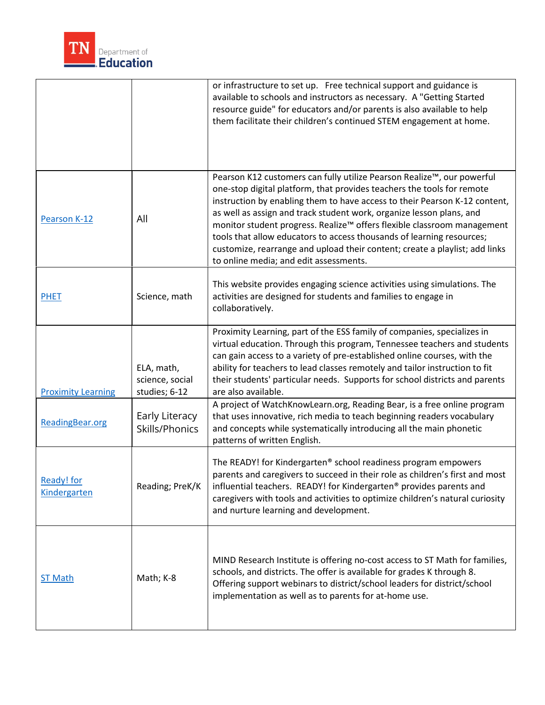

|                                   |                                                | or infrastructure to set up. Free technical support and guidance is<br>available to schools and instructors as necessary. A "Getting Started<br>resource guide" for educators and/or parents is also available to help<br>them facilitate their children's continued STEM engagement at home.                                                                                                                                                                                                                                                                                       |
|-----------------------------------|------------------------------------------------|-------------------------------------------------------------------------------------------------------------------------------------------------------------------------------------------------------------------------------------------------------------------------------------------------------------------------------------------------------------------------------------------------------------------------------------------------------------------------------------------------------------------------------------------------------------------------------------|
| Pearson K-12                      | All                                            | Pearson K12 customers can fully utilize Pearson Realize™, our powerful<br>one-stop digital platform, that provides teachers the tools for remote<br>instruction by enabling them to have access to their Pearson K-12 content,<br>as well as assign and track student work, organize lesson plans, and<br>monitor student progress. Realize™ offers flexible classroom management<br>tools that allow educators to access thousands of learning resources;<br>customize, rearrange and upload their content; create a playlist; add links<br>to online media; and edit assessments. |
| <b>PHET</b>                       | Science, math                                  | This website provides engaging science activities using simulations. The<br>activities are designed for students and families to engage in<br>collaboratively.                                                                                                                                                                                                                                                                                                                                                                                                                      |
| <b>Proximity Learning</b>         | ELA, math,<br>science, social<br>studies; 6-12 | Proximity Learning, part of the ESS family of companies, specializes in<br>virtual education. Through this program, Tennessee teachers and students<br>can gain access to a variety of pre-established online courses, with the<br>ability for teachers to lead classes remotely and tailor instruction to fit<br>their students' particular needs. Supports for school districts and parents<br>are also available.                                                                                                                                                                |
| ReadingBear.org                   | Early Literacy<br>Skills/Phonics               | A project of WatchKnowLearn.org, Reading Bear, is a free online program<br>that uses innovative, rich media to teach beginning readers vocabulary<br>and concepts while systematically introducing all the main phonetic<br>patterns of written English.                                                                                                                                                                                                                                                                                                                            |
| <b>Ready!</b> for<br>Kindergarten | Reading; PreK/K                                | The READY! for Kindergarten® school readiness program empowers<br>parents and caregivers to succeed in their role as children's first and most<br>influential teachers. READY! for Kindergarten <sup>®</sup> provides parents and<br>caregivers with tools and activities to optimize children's natural curiosity<br>and nurture learning and development.                                                                                                                                                                                                                         |
| <b>ST Math</b>                    | Math; K-8                                      | MIND Research Institute is offering no-cost access to ST Math for families,<br>schools, and districts. The offer is available for grades K through 8.<br>Offering support webinars to district/school leaders for district/school<br>implementation as well as to parents for at-home use.                                                                                                                                                                                                                                                                                          |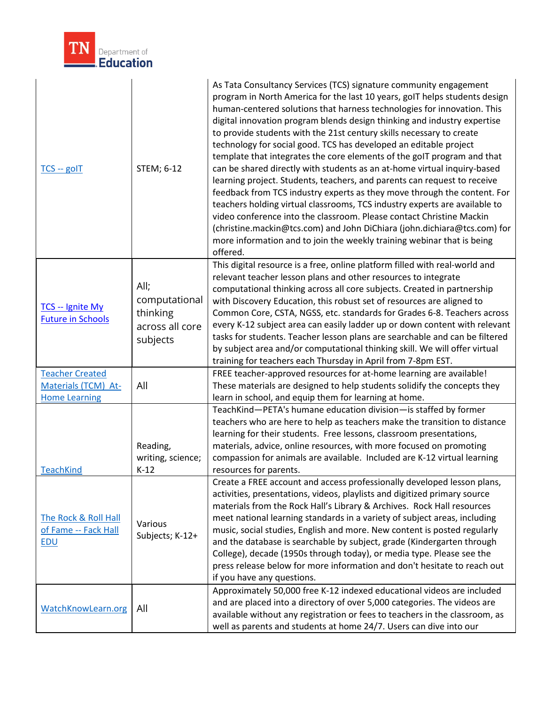

| $TCS - g$ ol $T$                                                      | STEM; 6-12                                                       | As Tata Consultancy Services (TCS) signature community engagement<br>program in North America for the last 10 years, goIT helps students design<br>human-centered solutions that harness technologies for innovation. This<br>digital innovation program blends design thinking and industry expertise<br>to provide students with the 21st century skills necessary to create<br>technology for social good. TCS has developed an editable project<br>template that integrates the core elements of the goIT program and that<br>can be shared directly with students as an at-home virtual inquiry-based<br>learning project. Students, teachers, and parents can request to receive<br>feedback from TCS industry experts as they move through the content. For<br>teachers holding virtual classrooms, TCS industry experts are available to<br>video conference into the classroom. Please contact Christine Mackin<br>(christine.mackin@tcs.com) and John DiChiara (john.dichiara@tcs.com) for<br>more information and to join the weekly training webinar that is being<br>offered. |
|-----------------------------------------------------------------------|------------------------------------------------------------------|--------------------------------------------------------------------------------------------------------------------------------------------------------------------------------------------------------------------------------------------------------------------------------------------------------------------------------------------------------------------------------------------------------------------------------------------------------------------------------------------------------------------------------------------------------------------------------------------------------------------------------------------------------------------------------------------------------------------------------------------------------------------------------------------------------------------------------------------------------------------------------------------------------------------------------------------------------------------------------------------------------------------------------------------------------------------------------------------|
| TCS -- Ignite My<br><b>Future in Schools</b>                          | All;<br>computational<br>thinking<br>across all core<br>subjects | This digital resource is a free, online platform filled with real-world and<br>relevant teacher lesson plans and other resources to integrate<br>computational thinking across all core subjects. Created in partnership<br>with Discovery Education, this robust set of resources are aligned to<br>Common Core, CSTA, NGSS, etc. standards for Grades 6-8. Teachers across<br>every K-12 subject area can easily ladder up or down content with relevant<br>tasks for students. Teacher lesson plans are searchable and can be filtered<br>by subject area and/or computational thinking skill. We will offer virtual<br>training for teachers each Thursday in April from 7-8pm EST.                                                                                                                                                                                                                                                                                                                                                                                                    |
| <b>Teacher Created</b><br>Materials (TCM) At-<br><b>Home Learning</b> | All                                                              | FREE teacher-approved resources for at-home learning are available!<br>These materials are designed to help students solidify the concepts they<br>learn in school, and equip them for learning at home.                                                                                                                                                                                                                                                                                                                                                                                                                                                                                                                                                                                                                                                                                                                                                                                                                                                                                   |
| <b>TeachKind</b>                                                      | Reading,<br>writing, science;<br>$K-12$                          | TeachKind-PETA's humane education division- is staffed by former<br>teachers who are here to help as teachers make the transition to distance<br>learning for their students. Free lessons, classroom presentations,<br>materials, advice, online resources, with more focused on promoting<br>compassion for animals are available. Included are K-12 virtual learning<br>resources for parents.                                                                                                                                                                                                                                                                                                                                                                                                                                                                                                                                                                                                                                                                                          |
| The Rock & Roll Hall<br>of Fame -- Fack Hall<br><b>EDU</b>            | Various<br>Subjects; K-12+                                       | Create a FREE account and access professionally developed lesson plans,<br>activities, presentations, videos, playlists and digitized primary source<br>materials from the Rock Hall's Library & Archives. Rock Hall resources<br>meet national learning standards in a variety of subject areas, including<br>music, social studies, English and more. New content is posted regularly<br>and the database is searchable by subject, grade (Kindergarten through<br>College), decade (1950s through today), or media type. Please see the<br>press release below for more information and don't hesitate to reach out<br>if you have any questions.                                                                                                                                                                                                                                                                                                                                                                                                                                       |
| WatchKnowLearn.org                                                    | All                                                              | Approximately 50,000 free K-12 indexed educational videos are included<br>and are placed into a directory of over 5,000 categories. The videos are<br>available without any registration or fees to teachers in the classroom, as<br>well as parents and students at home 24/7. Users can dive into our                                                                                                                                                                                                                                                                                                                                                                                                                                                                                                                                                                                                                                                                                                                                                                                    |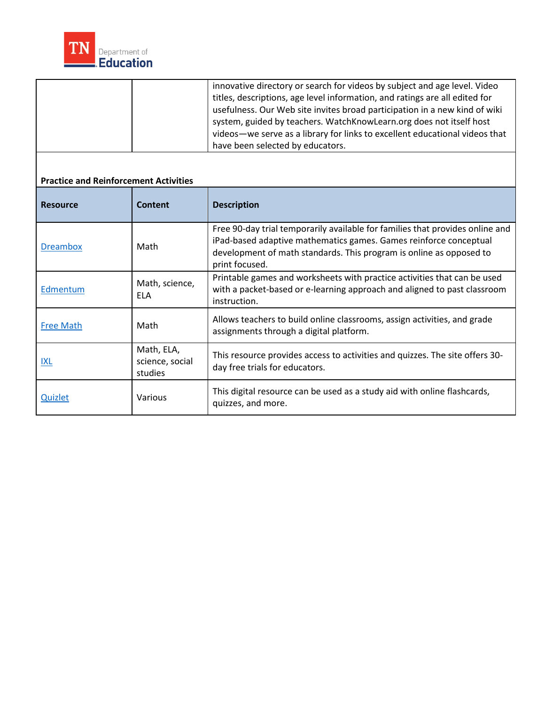

|                                              |                                          | innovative directory or search for videos by subject and age level. Video<br>titles, descriptions, age level information, and ratings are all edited for<br>usefulness. Our Web site invites broad participation in a new kind of wiki<br>system, guided by teachers. WatchKnowLearn.org does not itself host<br>videos-we serve as a library for links to excellent educational videos that<br>have been selected by educators. |
|----------------------------------------------|------------------------------------------|----------------------------------------------------------------------------------------------------------------------------------------------------------------------------------------------------------------------------------------------------------------------------------------------------------------------------------------------------------------------------------------------------------------------------------|
| <b>Practice and Reinforcement Activities</b> |                                          |                                                                                                                                                                                                                                                                                                                                                                                                                                  |
| <b>Resource</b>                              | <b>Content</b>                           | <b>Description</b>                                                                                                                                                                                                                                                                                                                                                                                                               |
| <b>Dreambox</b>                              | Math                                     | Free 90-day trial temporarily available for families that provides online and<br>iPad-based adaptive mathematics games. Games reinforce conceptual<br>development of math standards. This program is online as opposed to<br>print focused.                                                                                                                                                                                      |
| Edmentum                                     | Math, science,<br><b>ELA</b>             | Printable games and worksheets with practice activities that can be used<br>with a packet-based or e-learning approach and aligned to past classroom<br>instruction.                                                                                                                                                                                                                                                             |
| <b>Free Math</b>                             | Math                                     | Allows teachers to build online classrooms, assign activities, and grade<br>assignments through a digital platform.                                                                                                                                                                                                                                                                                                              |
| <b>IXL</b>                                   | Math, ELA,<br>science, social<br>studies | This resource provides access to activities and quizzes. The site offers 30-<br>day free trials for educators.                                                                                                                                                                                                                                                                                                                   |
| <b>Quizlet</b>                               | Various                                  | This digital resource can be used as a study aid with online flashcards,<br>quizzes, and more.                                                                                                                                                                                                                                                                                                                                   |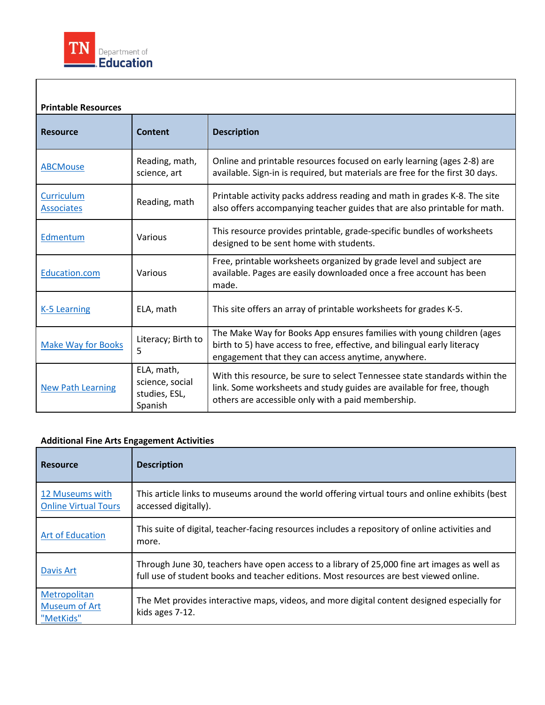

#### available. Pages are easily downloaded once a free account has been Literacy; Birth to link. Some worksheets and study guides are available for free, though **Printable Resources**  Resource **Content** | Description [ABCMouse](https://www.abcmouse.com/) Reading, math, science, art Online and printable resources focused on early learning (ages 2-8) are available. Sign-in is required, but materials are free for the first 30 days. **Curriculum**  $\frac{Curriculum}{Reading, math}$  Reading, math also offers accompanying teacher guides that are also printable for math. [Edmentum](https://info.edmentum.com/Worksheet-Bundles_Download.html) Various This resource provides printable, grade-specific bundles of worksheets designed to be sent home with students. [Education.com](https://www.education.com/worksheets/?gclid=EAIaIQobChMIxpSznc6h6AIVC2rBCh2HtwACEAEYASAAEgL2dfD_BwE) Various Free, printable worksheets organized by grade level and subject are made. [K-5 Learning](https://www.k5learning.com/free-worksheets-for-kids) ELA, math This site offers an array of printable worksheets for grades K-5. Make Way for Books 5 The Make Way for Books App ensures families with young children (ages birth to 5) have access to free, effective, and bilingual early literacy engagement that they can access anytime, anywhere. [New Path Learning](https://newpathworksheets.com/standard)  ELA, math, science, social studies, ESL, Spanish With this resource, be sure to select Tennessee state standards within the others are accessible only with a paid membership.

### **Additional Fine Arts Engagement Activities**

| <b>Resource</b>                                | <b>Description</b>                                                                                                                                                                     |
|------------------------------------------------|----------------------------------------------------------------------------------------------------------------------------------------------------------------------------------------|
| 12 Museums with<br><b>Online Virtual Tours</b> | This article links to museums around the world offering virtual tours and online exhibits (best<br>accessed digitally).                                                                |
| <b>Art of Education</b>                        | This suite of digital, teacher-facing resources includes a repository of online activities and<br>more.                                                                                |
| Davis Art                                      | Through June 30, teachers have open access to a library of 25,000 fine art images as well as<br>full use of student books and teacher editions. Most resources are best viewed online. |
| Metropolitan<br>Museum of Art<br>"MetKids"     | The Met provides interactive maps, videos, and more digital content designed especially for<br>kids ages 7-12.                                                                         |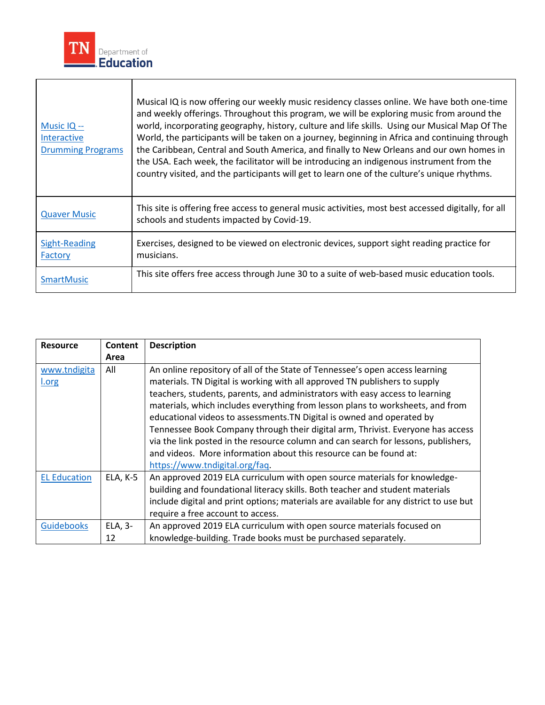

| Music $IQ -$<br>Interactive<br><b>Drumming Programs</b> | Musical IQ is now offering our weekly music residency classes online. We have both one-time<br>and weekly offerings. Throughout this program, we will be exploring music from around the<br>world, incorporating geography, history, culture and life skills. Using our Musical Map Of The<br>World, the participants will be taken on a journey, beginning in Africa and continuing through<br>the Caribbean, Central and South America, and finally to New Orleans and our own homes in<br>the USA. Each week, the facilitator will be introducing an indigenous instrument from the<br>country visited, and the participants will get to learn one of the culture's unique rhythms. |
|---------------------------------------------------------|----------------------------------------------------------------------------------------------------------------------------------------------------------------------------------------------------------------------------------------------------------------------------------------------------------------------------------------------------------------------------------------------------------------------------------------------------------------------------------------------------------------------------------------------------------------------------------------------------------------------------------------------------------------------------------------|
| <b>Quaver Music</b>                                     | This site is offering free access to general music activities, most best accessed digitally, for all<br>schools and students impacted by Covid-19.                                                                                                                                                                                                                                                                                                                                                                                                                                                                                                                                     |
| <b>Sight-Reading</b><br>Factory                         | Exercises, designed to be viewed on electronic devices, support sight reading practice for<br>musicians.                                                                                                                                                                                                                                                                                                                                                                                                                                                                                                                                                                               |
| <b>SmartMusic</b>                                       | This site offers free access through June 30 to a suite of web-based music education tools.                                                                                                                                                                                                                                                                                                                                                                                                                                                                                                                                                                                            |

 $\overline{\phantom{a}}$ 

| <b>Resource</b>     | Content  | <b>Description</b>                                                                     |
|---------------------|----------|----------------------------------------------------------------------------------------|
|                     | Area     |                                                                                        |
| www.tndigita        | All      | An online repository of all of the State of Tennessee's open access learning           |
| l.org               |          | materials. TN Digital is working with all approved TN publishers to supply             |
|                     |          | teachers, students, parents, and administrators with easy access to learning           |
|                     |          | materials, which includes everything from lesson plans to worksheets, and from         |
|                     |          | educational videos to assessments. TN Digital is owned and operated by                 |
|                     |          | Tennessee Book Company through their digital arm, Thrivist. Everyone has access        |
|                     |          | via the link posted in the resource column and can search for lessons, publishers,     |
|                     |          | and videos. More information about this resource can be found at:                      |
|                     |          | https://www.tndigital.org/faq.                                                         |
| <b>EL Education</b> | ELA, K-5 | An approved 2019 ELA curriculum with open source materials for knowledge-              |
|                     |          | building and foundational literacy skills. Both teacher and student materials          |
|                     |          | include digital and print options; materials are available for any district to use but |
|                     |          | require a free account to access.                                                      |
| <b>Guidebooks</b>   | ELA, 3-  | An approved 2019 ELA curriculum with open source materials focused on                  |
|                     | 12       | knowledge-building. Trade books must be purchased separately.                          |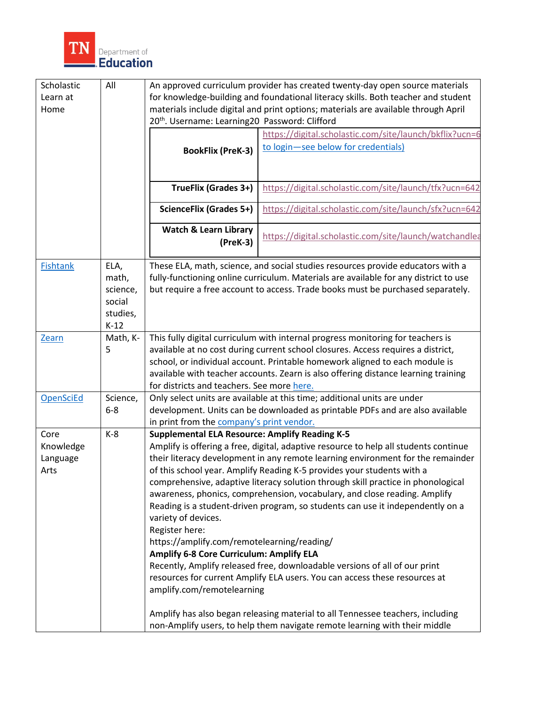

| Scholastic      | All                | An approved curriculum provider has created twenty-day open source materials                                                                                    |                                                                                      |  |
|-----------------|--------------------|-----------------------------------------------------------------------------------------------------------------------------------------------------------------|--------------------------------------------------------------------------------------|--|
| Learn at        |                    | for knowledge-building and foundational literacy skills. Both teacher and student                                                                               |                                                                                      |  |
| Home            |                    | materials include digital and print options; materials are available through April                                                                              |                                                                                      |  |
|                 |                    | 20 <sup>th</sup> . Username: Learning20 Password: Clifford                                                                                                      |                                                                                      |  |
|                 |                    | https://digital.scholastic.com/site/launch/bkflix?ucn=6                                                                                                         |                                                                                      |  |
|                 |                    | <b>BookFlix (PreK-3)</b>                                                                                                                                        | to login-see below for credentials)                                                  |  |
|                 |                    |                                                                                                                                                                 |                                                                                      |  |
|                 |                    |                                                                                                                                                                 |                                                                                      |  |
|                 |                    | TrueFlix (Grades 3+)                                                                                                                                            | https://digital.scholastic.com/site/launch/tfx?ucn=642                               |  |
|                 |                    | <b>ScienceFlix (Grades 5+)</b>                                                                                                                                  | https://digital.scholastic.com/site/launch/sfx?ucn=642                               |  |
|                 |                    | <b>Watch &amp; Learn Library</b>                                                                                                                                |                                                                                      |  |
|                 |                    | $(PreK-3)$                                                                                                                                                      | https://digital.scholastic.com/site/launch/watchandlea                               |  |
|                 |                    |                                                                                                                                                                 |                                                                                      |  |
| <b>Fishtank</b> | ELA,               |                                                                                                                                                                 | These ELA, math, science, and social studies resources provide educators with a      |  |
|                 | math,              |                                                                                                                                                                 | fully-functioning online curriculum. Materials are available for any district to use |  |
|                 | science,           |                                                                                                                                                                 | but require a free account to access. Trade books must be purchased separately.      |  |
|                 | social             |                                                                                                                                                                 |                                                                                      |  |
|                 | studies,           |                                                                                                                                                                 |                                                                                      |  |
|                 | $K-12$<br>Math, K- |                                                                                                                                                                 |                                                                                      |  |
| Zearn           | 5                  |                                                                                                                                                                 | This fully digital curriculum with internal progress monitoring for teachers is      |  |
|                 |                    | available at no cost during current school closures. Access requires a district,<br>school, or individual account. Printable homework aligned to each module is |                                                                                      |  |
|                 |                    | available with teacher accounts. Zearn is also offering distance learning training                                                                              |                                                                                      |  |
|                 |                    | for districts and teachers. See more here.                                                                                                                      |                                                                                      |  |
| OpenSciEd       | Science,           | Only select units are available at this time; additional units are under                                                                                        |                                                                                      |  |
|                 | $6 - 8$            | development. Units can be downloaded as printable PDFs and are also available                                                                                   |                                                                                      |  |
|                 |                    | in print from the company's print vendor.                                                                                                                       |                                                                                      |  |
| Core            | $K-8$              | <b>Supplemental ELA Resource: Amplify Reading K-5</b>                                                                                                           |                                                                                      |  |
| Knowledge       |                    | Amplify is offering a free, digital, adaptive resource to help all students continue                                                                            |                                                                                      |  |
| Language        |                    | their literacy development in any remote learning environment for the remainder                                                                                 |                                                                                      |  |
| Arts            |                    | of this school year. Amplify Reading K-5 provides your students with a                                                                                          |                                                                                      |  |
|                 |                    | comprehensive, adaptive literacy solution through skill practice in phonological                                                                                |                                                                                      |  |
|                 |                    | awareness, phonics, comprehension, vocabulary, and close reading. Amplify                                                                                       |                                                                                      |  |
|                 |                    | Reading is a student-driven program, so students can use it independently on a                                                                                  |                                                                                      |  |
|                 |                    | variety of devices.<br>Register here:                                                                                                                           |                                                                                      |  |
|                 |                    | https://amplify.com/remotelearning/reading/                                                                                                                     |                                                                                      |  |
|                 |                    | Amplify 6-8 Core Curriculum: Amplify ELA                                                                                                                        |                                                                                      |  |
|                 |                    |                                                                                                                                                                 | Recently, Amplify released free, downloadable versions of all of our print           |  |
|                 |                    | resources for current Amplify ELA users. You can access these resources at                                                                                      |                                                                                      |  |
|                 |                    | amplify.com/remotelearning                                                                                                                                      |                                                                                      |  |
|                 |                    |                                                                                                                                                                 |                                                                                      |  |
|                 |                    | Amplify has also began releasing material to all Tennessee teachers, including                                                                                  |                                                                                      |  |
|                 |                    | non-Amplify users, to help them navigate remote learning with their middle                                                                                      |                                                                                      |  |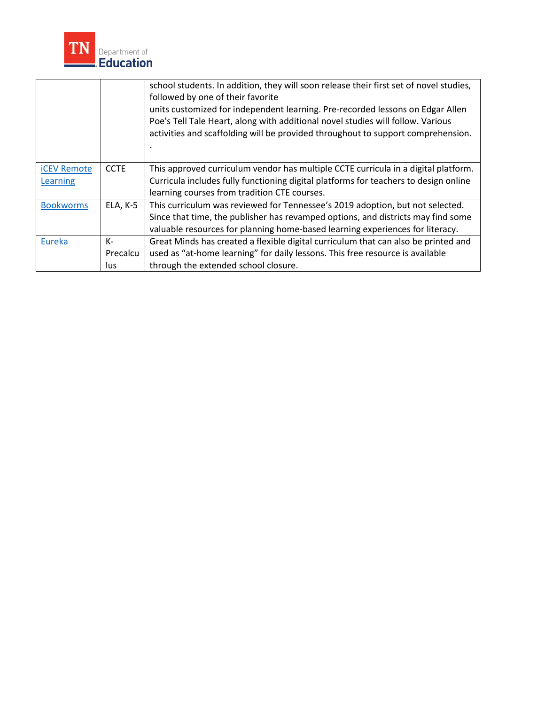

|                    |             | school students. In addition, they will soon release their first set of novel studies,<br>followed by one of their favorite<br>units customized for independent learning. Pre-recorded lessons on Edgar Allen<br>Poe's Tell Tale Heart, along with additional novel studies will follow. Various<br>activities and scaffolding will be provided throughout to support comprehension. |
|--------------------|-------------|--------------------------------------------------------------------------------------------------------------------------------------------------------------------------------------------------------------------------------------------------------------------------------------------------------------------------------------------------------------------------------------|
| <b>iCEV Remote</b> | <b>CCTE</b> | This approved curriculum vendor has multiple CCTE curricula in a digital platform.                                                                                                                                                                                                                                                                                                   |
| Learning           |             | Curricula includes fully functioning digital platforms for teachers to design online                                                                                                                                                                                                                                                                                                 |
|                    |             | learning courses from tradition CTE courses.                                                                                                                                                                                                                                                                                                                                         |
| <b>Bookworms</b>   | ELA, K-5    | This curriculum was reviewed for Tennessee's 2019 adoption, but not selected.                                                                                                                                                                                                                                                                                                        |
|                    |             | Since that time, the publisher has revamped options, and districts may find some                                                                                                                                                                                                                                                                                                     |
|                    |             | valuable resources for planning home-based learning experiences for literacy.                                                                                                                                                                                                                                                                                                        |
| Eureka             | $K-$        | Great Minds has created a flexible digital curriculum that can also be printed and                                                                                                                                                                                                                                                                                                   |
|                    | Precalcu    | used as "at-home learning" for daily lessons. This free resource is available                                                                                                                                                                                                                                                                                                        |
|                    | lus         | through the extended school closure.                                                                                                                                                                                                                                                                                                                                                 |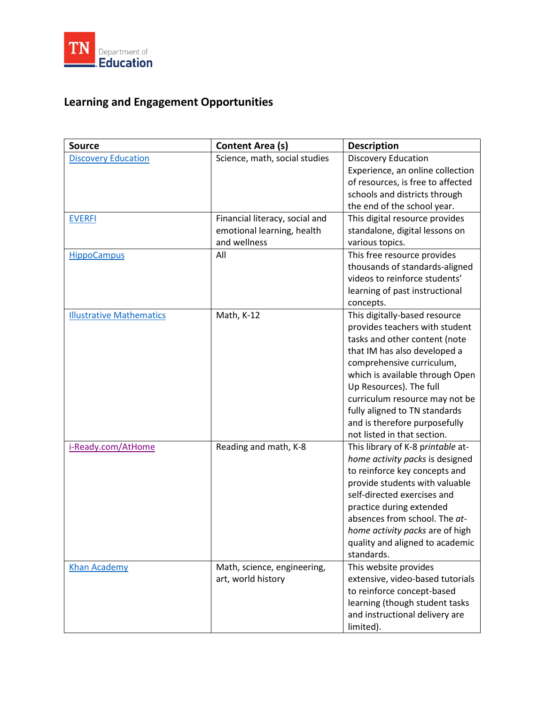

# **Learning and Engagement Opportunities**

| <b>Source</b>                   | Content Area (s)                                                             | <b>Description</b>                                                                                                                                                                                                                                                                                                                                             |
|---------------------------------|------------------------------------------------------------------------------|----------------------------------------------------------------------------------------------------------------------------------------------------------------------------------------------------------------------------------------------------------------------------------------------------------------------------------------------------------------|
| <b>Discovery Education</b>      | Science, math, social studies                                                | <b>Discovery Education</b><br>Experience, an online collection<br>of resources, is free to affected<br>schools and districts through<br>the end of the school year.                                                                                                                                                                                            |
| <b>EVERFI</b>                   | Financial literacy, social and<br>emotional learning, health<br>and wellness | This digital resource provides<br>standalone, digital lessons on<br>various topics.                                                                                                                                                                                                                                                                            |
| <b>HippoCampus</b>              | All                                                                          | This free resource provides<br>thousands of standards-aligned<br>videos to reinforce students'<br>learning of past instructional<br>concepts.                                                                                                                                                                                                                  |
| <b>Illustrative Mathematics</b> | Math, K-12                                                                   | This digitally-based resource<br>provides teachers with student<br>tasks and other content (note<br>that IM has also developed a<br>comprehensive curriculum,<br>which is available through Open<br>Up Resources). The full<br>curriculum resource may not be<br>fully aligned to TN standards<br>and is therefore purposefully<br>not listed in that section. |
| i-Ready.com/AtHome              | Reading and math, K-8                                                        | This library of K-8 printable at-<br>home activity packs is designed<br>to reinforce key concepts and<br>provide students with valuable<br>self-directed exercises and<br>practice during extended<br>absences from school. The at-<br>home activity packs are of high<br>quality and aligned to academic<br>standards.                                        |
| <b>Khan Academy</b>             | Math, science, engineering,<br>art, world history                            | This website provides<br>extensive, video-based tutorials<br>to reinforce concept-based<br>learning (though student tasks<br>and instructional delivery are<br>limited).                                                                                                                                                                                       |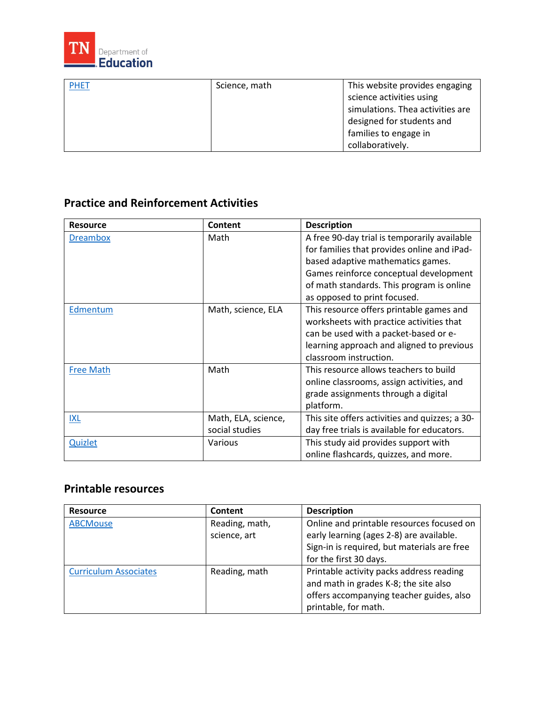

| <b>PHET</b> | Science, math | This website provides engaging   |
|-------------|---------------|----------------------------------|
|             |               | science activities using         |
|             |               | simulations. Thea activities are |
|             |               | designed for students and        |
|             |               | families to engage in            |
|             |               | collaboratively.                 |

## **Practice and Reinforcement Activities**

| <b>Resource</b>  | Content             | <b>Description</b>                             |
|------------------|---------------------|------------------------------------------------|
| <b>Dreambox</b>  | Math                | A free 90-day trial is temporarily available   |
|                  |                     | for families that provides online and iPad-    |
|                  |                     | based adaptive mathematics games.              |
|                  |                     | Games reinforce conceptual development         |
|                  |                     | of math standards. This program is online      |
|                  |                     | as opposed to print focused.                   |
| Edmentum         | Math, science, ELA  | This resource offers printable games and       |
|                  |                     | worksheets with practice activities that       |
|                  |                     | can be used with a packet-based or e-          |
|                  |                     | learning approach and aligned to previous      |
|                  |                     | classroom instruction.                         |
| <b>Free Math</b> | Math                | This resource allows teachers to build         |
|                  |                     | online classrooms, assign activities, and      |
|                  |                     | grade assignments through a digital            |
|                  |                     | platform.                                      |
| <b>IXL</b>       | Math, ELA, science, | This site offers activities and quizzes; a 30- |
|                  | social studies      | day free trials is available for educators.    |
| <b>Quizlet</b>   | Various             | This study aid provides support with           |
|                  |                     | online flashcards, quizzes, and more.          |

## **Printable resources**

| <b>Resource</b>              | Content        | <b>Description</b>                          |
|------------------------------|----------------|---------------------------------------------|
| <b>ABCMouse</b>              | Reading, math, | Online and printable resources focused on   |
|                              | science, art   | early learning (ages 2-8) are available.    |
|                              |                | Sign-in is required, but materials are free |
|                              |                | for the first 30 days.                      |
| <b>Curriculum Associates</b> | Reading, math  | Printable activity packs address reading    |
|                              |                | and math in grades K-8; the site also       |
|                              |                | offers accompanying teacher guides, also    |
|                              |                | printable, for math.                        |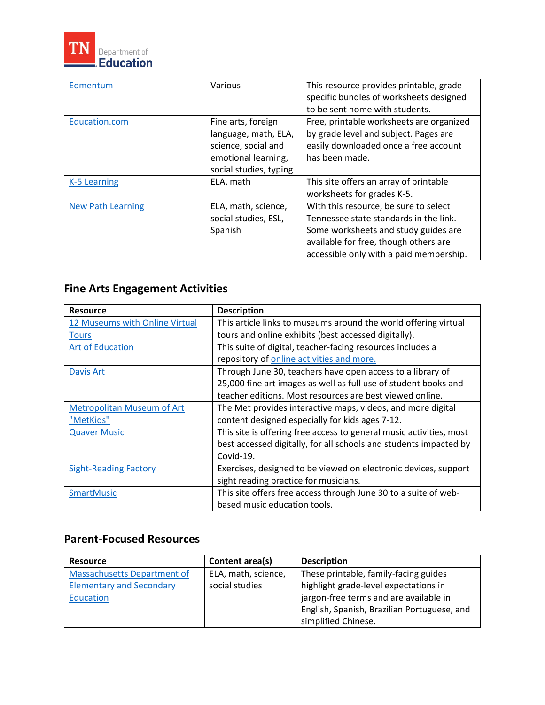

| Edmentum                 | Various                | This resource provides printable, grade- |
|--------------------------|------------------------|------------------------------------------|
|                          |                        | specific bundles of worksheets designed  |
|                          |                        | to be sent home with students.           |
| Education.com            | Fine arts, foreign     | Free, printable worksheets are organized |
|                          | language, math, ELA,   | by grade level and subject. Pages are    |
|                          | science, social and    | easily downloaded once a free account    |
|                          | emotional learning,    | has been made.                           |
|                          | social studies, typing |                                          |
| K-5 Learning             | ELA, math              | This site offers an array of printable   |
|                          |                        | worksheets for grades K-5.               |
| <b>New Path Learning</b> | ELA, math, science,    | With this resource, be sure to select    |
|                          | social studies, ESL,   | Tennessee state standards in the link.   |
|                          | Spanish                | Some worksheets and study guides are     |
|                          |                        | available for free, though others are    |
|                          |                        | accessible only with a paid membership.  |

# **Fine Arts Engagement Activities**

| <b>Resource</b>                   | <b>Description</b>                                                  |
|-----------------------------------|---------------------------------------------------------------------|
| 12 Museums with Online Virtual    | This article links to museums around the world offering virtual     |
| <b>Tours</b>                      | tours and online exhibits (best accessed digitally).                |
| <b>Art of Education</b>           | This suite of digital, teacher-facing resources includes a          |
|                                   | repository of online activities and more.                           |
| Davis Art                         | Through June 30, teachers have open access to a library of          |
|                                   | 25,000 fine art images as well as full use of student books and     |
|                                   | teacher editions. Most resources are best viewed online.            |
| <b>Metropolitan Museum of Art</b> | The Met provides interactive maps, videos, and more digital         |
| "MetKids"                         | content designed especially for kids ages 7-12.                     |
| <b>Quaver Music</b>               | This site is offering free access to general music activities, most |
|                                   | best accessed digitally, for all schools and students impacted by   |
|                                   | Covid-19.                                                           |
| <b>Sight-Reading Factory</b>      | Exercises, designed to be viewed on electronic devices, support     |
|                                   | sight reading practice for musicians.                               |
| <b>SmartMusic</b>                 | This site offers free access through June 30 to a suite of web-     |
|                                   | based music education tools.                                        |

## **Parent-Focused Resources**

| <b>Resource</b>                    | Content area(s)     | <b>Description</b>                          |
|------------------------------------|---------------------|---------------------------------------------|
| <b>Massachusetts Department of</b> | ELA, math, science, | These printable, family-facing guides       |
| <b>Elementary and Secondary</b>    | social studies      | highlight grade-level expectations in       |
| Education                          |                     | jargon-free terms and are available in      |
|                                    |                     | English, Spanish, Brazilian Portuguese, and |
|                                    |                     | simplified Chinese.                         |